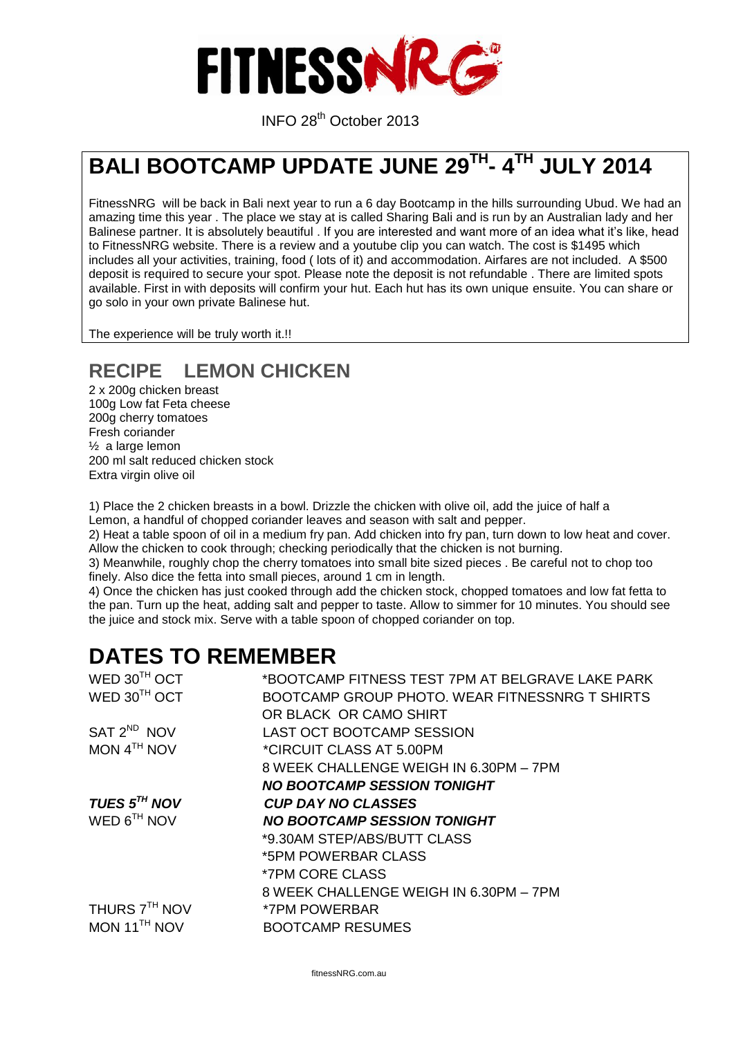

INFO 28th October <sup>2013</sup>

# **BALI BOOTCAMP UPDATE JUNE 29TH - 4 TH JULY 2014**

FitnessNRG will be back in Bali next year to run a 6 day Bootcamp in the hills surrounding Ubud. We had an amazing time this year . The place we stay at is called Sharing Bali and is run by an Australian lady and her Balinese partner. It is absolutely beautiful . If you are interested and want more of an idea what it's like, head to FitnessNRG website. There is a review and a youtube clip you can watch. The cost is \$1495 which includes all your activities, training, food ( lots of it) and accommodation. Airfares are not included. A \$500 deposit is required to secure your spot. Please note the deposit is not refundable . There are limited spots available. First in with deposits will confirm your hut. Each hut has its own unique ensuite. You can share or go solo in your own private Balinese hut.

The experience will be truly worth it.!!

#### **RECIPE LEMON CHICKEN**

2 x 200g chicken breast 100g Low fat Feta cheese 200g cherry tomatoes Fresh coriander ½ a large lemon 200 ml salt reduced chicken stock Extra virgin olive oil

1) Place the 2 chicken breasts in a bowl. Drizzle the chicken with olive oil, add the juice of half a Lemon, a handful of chopped coriander leaves and season with salt and pepper.

2) Heat a table spoon of oil in a medium fry pan. Add chicken into fry pan, turn down to low heat and cover. Allow the chicken to cook through; checking periodically that the chicken is not burning.

3) Meanwhile, roughly chop the cherry tomatoes into small bite sized pieces . Be careful not to chop too finely. Also dice the fetta into small pieces, around 1 cm in length.

4) Once the chicken has just cooked through add the chicken stock, chopped tomatoes and low fat fetta to the pan. Turn up the heat, adding salt and pepper to taste. Allow to simmer for 10 minutes. You should see the juice and stock mix. Serve with a table spoon of chopped coriander on top.

### **DATES TO REMEMBER**

| WED 30TH OCT             | *BOOTCAMP FITNESS TEST 7PM AT BELGRAVE LAKE PARK |
|--------------------------|--------------------------------------------------|
| WED 30 <sup>TH</sup> OCT | BOOTCAMP GROUP PHOTO, WEAR FITNESSNRG T SHIRTS   |
|                          | OR BLACK OR CAMO SHIRT                           |
| SAT 2 <sup>ND</sup> NOV  | LAST OCT BOOTCAMP SESSION                        |
| MON $4TH$ NOV            | *CIRCUIT CLASS AT 5.00PM                         |
|                          | 8 WEEK CHALLENGE WEIGH IN 6.30PM - 7PM           |
|                          | <b>NO BOOTCAMP SESSION TONIGHT</b>               |
| TUES $5^{TH}$ NOV        | <b>CUP DAY NO CLASSES</b>                        |
| WED $6^{TH}$ NOV         | <b>NO BOOTCAMP SESSION TONIGHT</b>               |
|                          | *9.30AM STEP/ABS/BUTT CLASS                      |
|                          | *5PM POWERBAR CLASS                              |
|                          | <i><b>*7PM CORE CLASS</b></i>                    |
|                          | 8 WEEK CHALLENGE WEIGH IN 6.30PM - 7PM           |
| THURS 7TH NOV            | <i>*7PM POWERBAR</i>                             |
| MON $11TH$ NOV           | <b>BOOTCAMP RESUMES</b>                          |
|                          |                                                  |